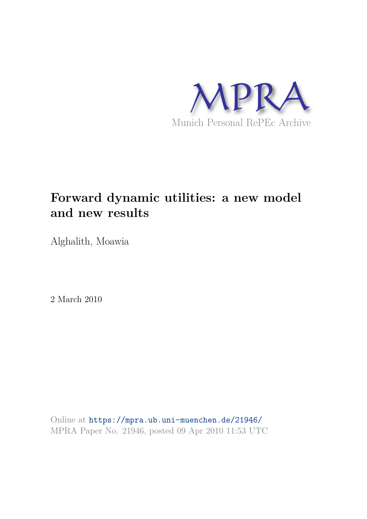

# **Forward dynamic utilities: a new model and new results**

Alghalith, Moawia

2 March 2010

Online at https://mpra.ub.uni-muenchen.de/21946/ MPRA Paper No. 21946, posted 09 Apr 2010 11:53 UTC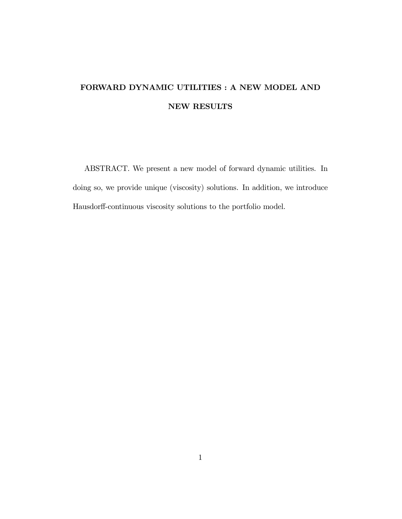## FORWARD DYNAMIC UTILITIES : A NEW MODEL AND  ${\bf NEW \; RESULTS}$

ABSTRACT. We present a new model of forward dynamic utilities. In doing so, we provide unique (viscosity) solutions. In addition, we introduce Hausdorff-continuous viscosity solutions to the portfolio model.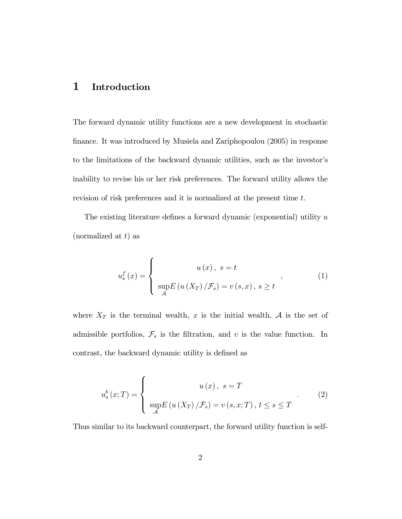#### $\mathbf{1}$ Introduction

The forward dynamic utility functions are a new development in stochastic finance. It was introduced by Musiela and Zariphopoulou (2005) in response to the limitations of the backward dynamic utilities, such as the investor's inability to revise his or her risk preferences. The forward utility allows the revision of risk preferences and it is normalized at the present time  $t$ .

The existing literature defines a forward dynamic (exponential) utility  $u$ (normalized at  $t$ ) as

$$
u_s^f(x) = \begin{cases} u(x), & s = t \\ \sup_{\mathcal{A}} E(u(X_T)/\mathcal{F}_s) = v(s, x), & s \ge t \end{cases}
$$
 (1)

where  $X_T$  is the terminal wealth, x is the initial wealth, A is the set of admissible portfolios,  $\mathcal{F}_s$  is the filtration, and v is the value function. In contrast, the backward dynamic utility is defined as

$$
u_s^b(x;T) = \begin{cases} u(x), & s = T \\ \sup_{\mathcal{A}} E(u(X_T)/\mathcal{F}_s) = v(s,x;T), & t \le s \le T \end{cases}
$$
 (2)

Thus similar to its backward counterpart, the forward utility function is self-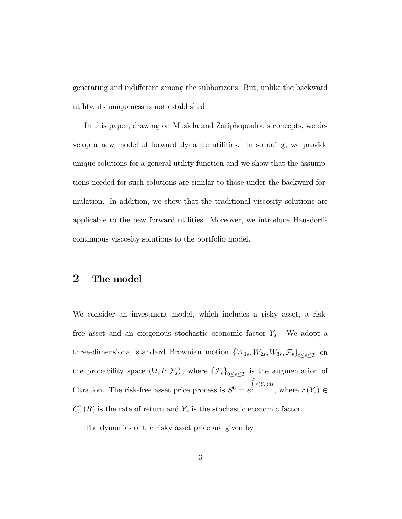generating and indifferent among the subhorizons. But, unlike the backward utility, its uniqueness is not established.

In this paper, drawing on Musiela and Zariphopoulou's concepts, we develop a new model of forward dynamic utilities. In so doing, we provide unique solutions for a general utility function and we show that the assumptions needed for such solutions are similar to those under the backward formulation. In addition, we show that the traditional viscosity solutions are applicable to the new forward utilities. Moreover, we introduce Hausdorffcontinuous viscosity solutions to the portfolio model.

#### $\overline{2}$ The model

We consider an investment model, which includes a risky asset, a riskfree asset and an exogenous stochastic economic factor  $Y_s$ . We adopt a three-dimensional standard Brownian motion  $\{W_{1s}, W_{2s}, W_{3s}, \mathcal{F}_s\}_{t \leq s \leq T}$  on the probability space  $(\Omega,P,\mathcal{F}_s)$  , where  $\{\mathcal{F}_s\}_{0\leq s\leq T}$  is the augmentation of filtration. The risk-free asset price process is  $S^0 = e^{r \int r(Y_s)ds}$ , where  $r(Y_s) \in$  $C_b^2(R)$  is the rate of return and  $Y_s$  is the stochastic economic factor.

The dynamics of the risky asset price are given by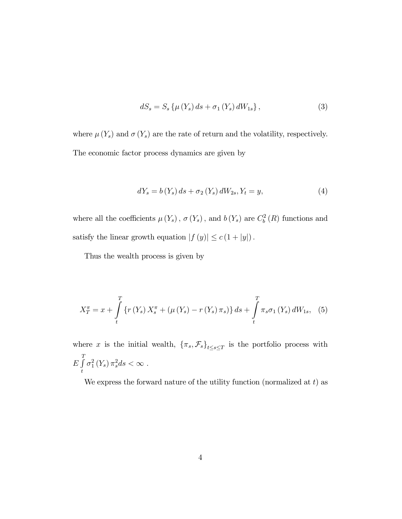$$
dS_s = S_s \{\mu(Y_s) ds + \sigma_1(Y_s) dW_{1s}\},\tag{3}
$$

where  $\mu(Y_s)$  and  $\sigma(Y_s)$  are the rate of return and the volatility, respectively. The economic factor process dynamics are given by

$$
dY_s = b(Y_s) ds + \sigma_2(Y_s) dW_{2s}, Y_t = y,
$$
\n(4)

where all the coefficients  $\mu\left(Y_{s}\right),\,\sigma\left(Y_{s}\right),$  and  $b\left(Y_{s}\right)$  are  $C_{b}^{2}\left(R\right)$  functions and satisfy the linear growth equation  $|f(y)| \leq c(1+|y|)$ .

Thus the wealth process is given by

$$
X_{T}^{\pi} = x + \int_{t}^{T} \left\{ r \left( Y_{s} \right) X_{s}^{\pi} + \left( \mu \left( Y_{s} \right) - r \left( Y_{s} \right) \pi_{s} \right) \right\} ds + \int_{t}^{T} \pi_{s} \sigma_{1} \left( Y_{s} \right) dW_{1s}, \quad (5)
$$

where x is the initial wealth,  $\{\pi_s, \mathcal{F}_s\}_{t \leq s \leq T}$  is the portfolio process with  $E\int\limits_t^T {\sigma _1^2 \left( {{Y_s}} \right)\pi _s^2ds < \infty }$ .

We express the forward nature of the utility function (normalized at  $t$ ) as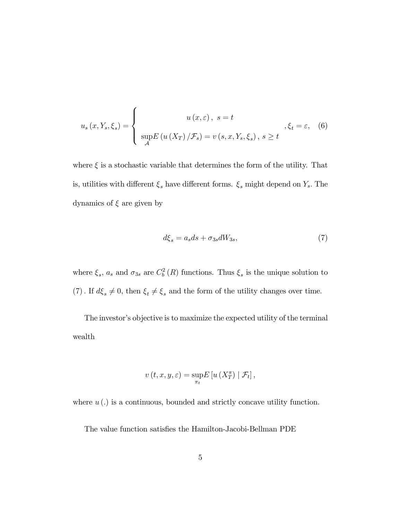$$
u_{s}(x, Y_{s}, \xi_{s}) = \begin{cases} u(x, \varepsilon), & s = t \\ \sup_{\mathcal{A}} E(u(X_{T}) / \mathcal{F}_{s}) = v(s, x, Y_{s}, \xi_{s}), & s \ge t \end{cases}, \xi_{t} = \varepsilon, \quad (6)
$$

where  $\xi$  is a stochastic variable that determines the form of the utility. That is, utilities with different  $\xi_s$  <br>have different forms.  $\xi_s$  might depend on<br>  $Y_s.$  The dynamics of  $\xi$  are given by

$$
d\xi_s = a_s ds + \sigma_{3s} dW_{3s},\tag{7}
$$

where  $\xi_s$ ,  $a_s$  and  $\sigma_{3s}$  are  $C_b^2(R)$  functions. Thus  $\xi_s$  is the unique solution to (7). If  $d\xi_s \neq 0$ , then  $\xi_t \neq \xi_s$  and the form of the utility changes over time.

The investor's objective is to maximize the expected utility of the terminal wealth

$$
v(t, x, y, \varepsilon) = \sup_{\pi_t} E\left[u\left(X_T^{\pi}\right) \mid \mathcal{F}_t\right],
$$

where  $u(.)$  is a continuous, bounded and strictly concave utility function.

The value function satisfies the Hamilton-Jacobi-Bellman PDE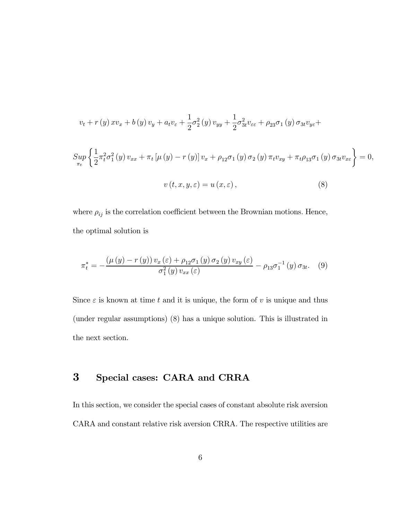$$
v_{t} + r(y) x v_{x} + b(y) v_{y} + a_{t} v_{\varepsilon} + \frac{1}{2} \sigma_{2}^{2}(y) v_{yy} + \frac{1}{2} \sigma_{3t}^{2} v_{\varepsilon \varepsilon} + \rho_{23} \sigma_{1}(y) \sigma_{3t} v_{y\varepsilon} + S_{\pi t}
$$
  

$$
S_{\mu\nu} \left\{ \frac{1}{2} \pi_{t}^{2} \sigma_{1}^{2}(y) v_{xx} + \pi_{t} \left[ \mu(y) - r(y) \right] v_{x} + \rho_{12} \sigma_{1}(y) \sigma_{2}(y) \pi_{t} v_{xy} + \pi_{t} \rho_{13} \sigma_{1}(y) \sigma_{3t} v_{x\varepsilon} \right\} = 0,
$$
  

$$
v(t, x, y, \varepsilon) = u(x, \varepsilon),
$$
 (8)

where  $\rho_{ij}$  is the correlation coefficient between the Brownian motions. Hence, the optimal solution is

$$
\pi_t^* = -\frac{\left(\mu\left(y\right) - r\left(y\right)\right)v_x\left(\varepsilon\right) + \rho_{12}\sigma_1\left(y\right)\sigma_2\left(y\right)v_{xy}\left(\varepsilon\right)}{\sigma_1^2\left(y\right)v_{xx}\left(\varepsilon\right)} - \rho_{13}\sigma_1^{-1}\left(y\right)\sigma_3_t. \tag{9}
$$

Since  $\varepsilon$  is known at time t and it is unique, the form of v is unique and thus (under regular assumptions) (8) has a unique solution. This is illustrated in the next section.

#### $\boldsymbol{3}$ Special cases: CARA and CRRA

In this section, we consider the special cases of constant absolute risk aversion CARA and constant relative risk aversion CRRA. The respective utilities are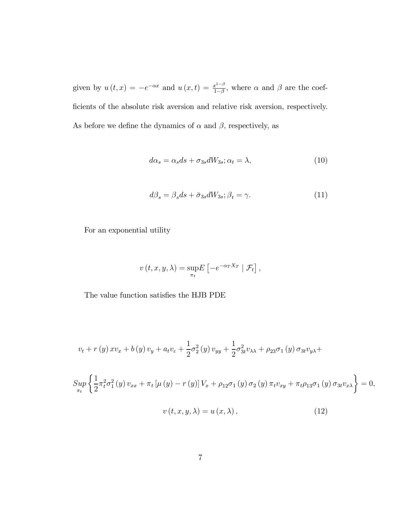given by  $u(t,x) = -e^{-\alpha x}$  and  $u(x,t) = \frac{x^{1-\beta}}{1-\beta}$ , where  $\alpha$  and  $\beta$  are the coefficients of the absolute risk aversion and relative risk aversion, respectively. As before we define the dynamics of  $\alpha$  and  $\beta$ , respectively, as

$$
d\alpha_s = \alpha_s ds + \sigma_{3s} dW_{3s}; \alpha_t = \lambda,
$$
\n(10)

$$
d\beta_s = \beta_s ds + \bar{\sigma}_{3s} dW_{3s}; \beta_t = \gamma. \tag{11}
$$

For an exponential utility

$$
v(t, x, y, \lambda) = \sup_{\pi_t} E\left[ -e^{-\alpha_T X_T} | \mathcal{F}_t \right],
$$

The value function satisfies the HJB PDE

$$
v_t + r(y) x v_x + b(y) v_y + a_t v_{\varepsilon} + \frac{1}{2} \sigma_2^2(y) v_{yy} + \frac{1}{2} \sigma_3^2 v_{\lambda\lambda} + \rho_{23} \sigma_1(y) \sigma_3 v_{y\lambda} +
$$

$$
Sup\left\{\frac{1}{2}\pi_{t}^{2}\sigma_{1}^{2}(y)v_{xx} + \pi_{t}\left[\mu\left(y\right) - r\left(y\right)\right]V_{x} + \rho_{12}\sigma_{1}\left(y\right)\sigma_{2}\left(y\right)\pi_{t}v_{xy} + \pi_{t}\rho_{13}\sigma_{1}\left(y\right)\sigma_{3t}v_{x\lambda}\right\} = 0,
$$
  

$$
v\left(t, x, y, \lambda\right) = u\left(x, \lambda\right),
$$
 (12)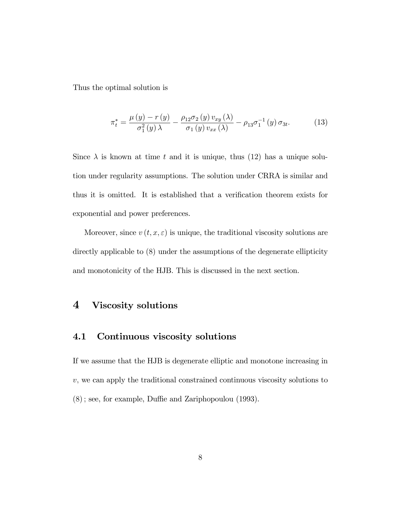Thus the optimal solution is

$$
\pi_t^* = \frac{\mu\left(y\right) - r\left(y\right)}{\sigma_1^2\left(y\right)\lambda} - \frac{\rho_{12}\sigma_2\left(y\right)v_{xy}\left(\lambda\right)}{\sigma_1\left(y\right)v_{xx}\left(\lambda\right)} - \rho_{13}\sigma_1^{-1}\left(y\right)\sigma_{3t}.\tag{13}
$$

Since  $\lambda$  is known at time t and it is unique, thus (12) has a unique solution under regularity assumptions. The solution under CRRA is similar and thus it is omitted. It is established that a verification theorem exists for exponential and power preferences.

Moreover, since  $v(t, x, \varepsilon)$  is unique, the traditional viscosity solutions are directly applicable to  $(8)$  under the assumptions of the degenerate ellipticity and monotonicity of the HJB. This is discussed in the next section.

#### $\boldsymbol{4}$ Viscosity solutions

#### Continuous viscosity solutions 4.1

If we assume that the HJB is degenerate elliptic and monotone increasing in  $v$ , we can apply the traditional constrained continuous viscosity solutions to  $(8)$ ; see, for example, Duffie and Zariphopoulou  $(1993)$ .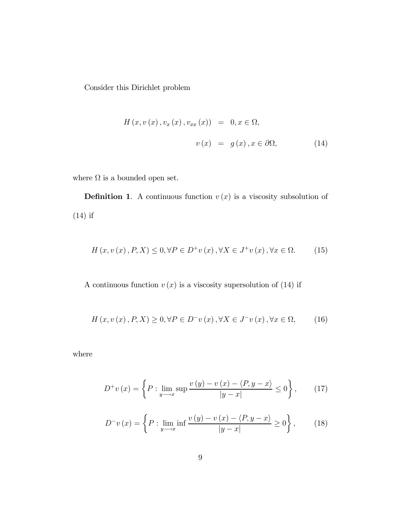Consider this Dirichlet problem

$$
H(x, v(x), v_x(x), v_{xx}(x)) = 0, x \in \Omega,
$$
  

$$
v(x) = g(x), x \in \partial\Omega,
$$
 (14)

where  $\Omega$  is a bounded open set.

**Definition 1.** A continuous function  $v(x)$  is a viscosity subsolution of  $(14)$  if

$$
H(x, v(x), P, X) \le 0, \forall P \in D^{+}v(x), \forall X \in J^{+}v(x), \forall x \in \Omega.
$$
 (15)

A continuous function  $v(x)$  is a viscosity supersolution of (14) if

$$
H(x, v(x), P, X) \ge 0, \forall P \in D^{-}v(x), \forall X \in J^{-}v(x), \forall x \in \Omega, \qquad (16)
$$

 $% \left\vert \mathcal{L}_{\mathcal{A}}\right\vert$  where

$$
D^{+}v(x) = \left\{ P : \lim_{y \to x} \sup \frac{v(y) - v(x) - \langle P, y - x \rangle}{|y - x|} \le 0 \right\},\qquad(17)
$$

$$
D^{-}v(x) = \left\{ P : \lim_{y \to x} \inf \frac{v(y) - v(x) - \langle P, y - x \rangle}{|y - x|} \ge 0 \right\},\qquad(18)
$$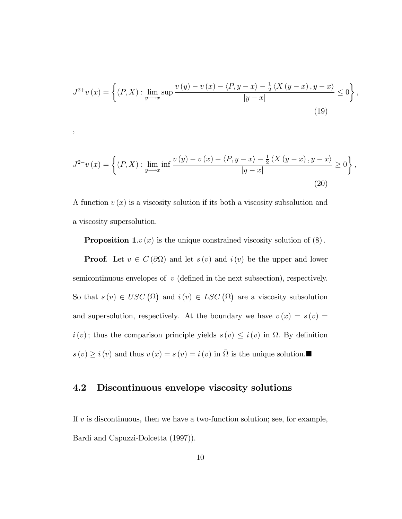$$
J^{2+}v(x) = \left\{ (P, X) : \lim_{y \to x} \sup \frac{v(y) - v(x) - \langle P, y - x \rangle - \frac{1}{2} \langle X(y - x), y - x \rangle}{|y - x|} \le 0 \right\},\tag{19}
$$

$$
J^{2-}v(x) = \left\{ (P, X) : \lim_{y \to x} \inf \frac{v(y) - v(x) - \langle P, y - x \rangle - \frac{1}{2} \langle X(y - x), y - x \rangle}{|y - x|} \ge 0 \right\},\tag{20}
$$

A function  $v(x)$  is a viscosity solution if its both a viscosity subsolution and a viscosity supersolution.

**Proposition 1.**  $v(x)$  is the unique constrained viscosity solution of  $(8)$ .

**Proof.** Let  $v \in C(\partial\Omega)$  and let  $s(v)$  and  $i(v)$  be the upper and lower semicontinuous envelopes of  $v$  (defined in the next subsection), respectively. So that  $s(v) \in USC(\overline{\Omega})$  and  $i(v) \in LSC(\overline{\Omega})$  are a viscosity subsolution and supersolution, respectively. At the boundary we have  $v(x) = s(v)$  =  $i(v)$ ; thus the comparison principle yields  $s(v) \leq i(v)$  in  $\Omega$ . By definition  $s(v) \geq i(v)$  and thus  $v(x) = s(v) = i(v)$  in  $\overline{\Omega}$  is the unique solution.

#### Discontinuous envelope viscosity solutions 4.2

If  $v$  is discontinuous, then we have a two-function solution; see, for example, Bardi and Capuzzi-Dolcetta (1997).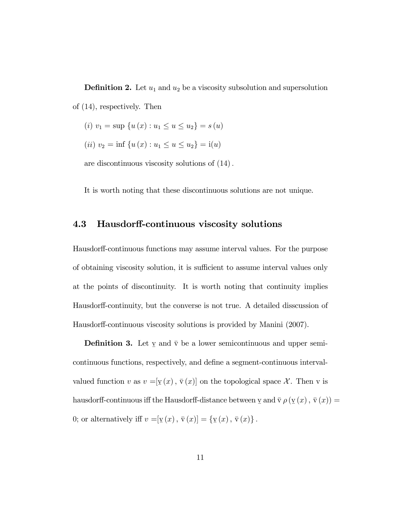**Definition 2.** Let  $u_1$  and  $u_2$  be a viscosity subsolution and supersolution of  $(14)$ , respectively. Then

- (*i*)  $v_1 = \sup \{u(x) : u_1 \leq u \leq u_2\} = s(u)$
- (*ii*)  $v_2 = \inf \{ u(x) : u_1 \le u \le u_2 \} = i(u)$

are discontinuous viscosity solutions of  $(14)$ .

It is worth noting that these discontinuous solutions are not unique.

#### 4.3 Hausdorff-continuous viscosity solutions

Hausdorff-continuous functions may assume interval values. For the purpose of obtaining viscosity solution, it is sufficient to assume interval values only at the points of discontinuity. It is worth noting that continuity implies Hausdorff-continuity, but the converse is not true. A detailed disscussion of Hausdorff-continuous viscosity solutions is provided by Manini (2007).

**Definition 3.** Let y and  $\bar{v}$  be a lower semicontinuous and upper semicontinuous functions, respectively, and define a segment-continuous intervalvalued function v as  $v = [\underline{v}(x), \overline{v}(x)]$  on the topological space X. Then v is hausdorff-continuous iff the Hausdorff-distance between  $\underline{v}$  and  $\overline{v} \rho (\underline{v}(x), \overline{v}(x)) =$ 0; or alternatively iff  $v = [\underline{v}(x), \overline{v}(x)] = {\underline{v}(x), \overline{v}(x)}$ .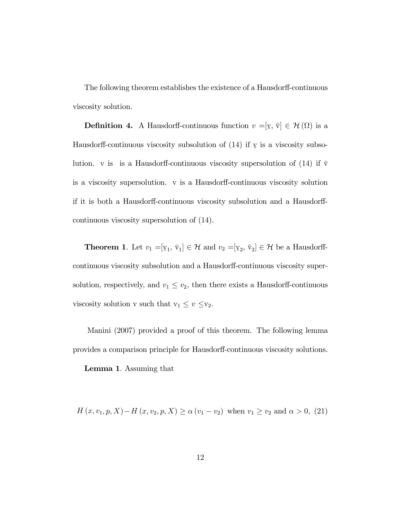The following theorem establishes the existence of a Hausdorff-continuous viscosity solution.

**Definition 4.** A Hausdorff-continuous function  $v = [\underline{v}, \overline{v}] \in \mathcal{H}(\Omega)$  is a Hausdorff-continuous viscosity subsolution of (14) if  $\underline{v}$  is a viscosity subsolution. v is is a Hausdorff-continuous viscosity supersolution of (14) if  $\bar{v}$ is a viscosity supersolution. v is a Hausdorff-continuous viscosity solution if it is both a Hausdorff-continuous viscosity subsolution and a Hausdorffcontinuous viscosity supersolution of (14).

**Theorem 1.** Let  $v_1 = [v_1, \bar{v}_1] \in \mathcal{H}$  and  $v_2 = [v_2, \bar{v}_2] \in \mathcal{H}$  be a Hausdorffcontinuous viscosity subsolution and a Hausdorff-continuous viscosity supersolution, respectively, and  $v_1 \le v_2$ , then there exists a Hausdorff-continuous viscosity solution v such that  $v_1 \le v \le v_2$ .

Manini (2007) provided a proof of this theorem. The following lemma provides a comparison principle for Hausdorff-continuous viscosity solutions.

**Lemma 1.** Assuming that

$$
H(x, v_1, p, X) - H(x, v_2, p, X) \ge \alpha (v_1 - v_2) \text{ when } v_1 \ge v_2 \text{ and } \alpha > 0, (21)
$$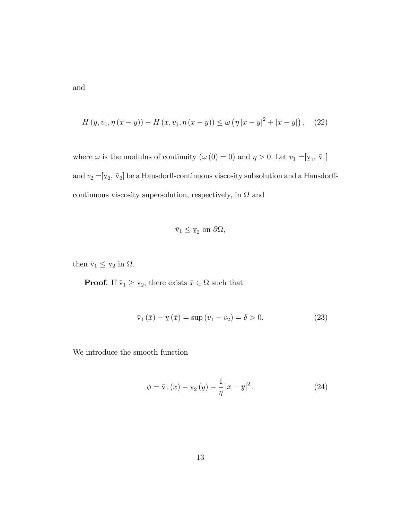and

$$
H(y, v_1, \eta(x - y)) - H(x, v_1, \eta(x - y)) \le \omega (\eta |x - y|^2 + |x - y|), \quad (22)
$$

where  $\omega$  is the modulus of continuity  $(\omega(0) = 0)$  and  $\eta > 0$ . Let  $v_1 = [\underline{v}_1, \overline{v}_1]$ and  $v_2=[\underline{\mathbf{v}}_2,\,\bar{\mathbf{v}}_2]$  be a Hausdorff-continuous viscosity subsolution and a Hausdorffcontinuous viscosity supersolution, respectively, in  $\Omega$  and

$$
\bar{v}_1 \leq \underline{v}_2
$$
 on  $\partial\Omega$ 

then  $\bar{v}_1 \leq \underline{v}_2$  in  $\Omega.$ 

**Proof.** If  $\bar{v}_1 \geq v_2$ , there exists  $\bar{x} \in \Omega$  such that

$$
\bar{v}_1(\bar{x}) - \underline{v}(\bar{x}) = \sup(v_1 - v_2) = \delta > 0.
$$
 (23)

We introduce the smooth function

$$
\phi = \bar{v}_1(x) - \underline{v}_2(y) - \frac{1}{\eta} |x - y|^2. \tag{24}
$$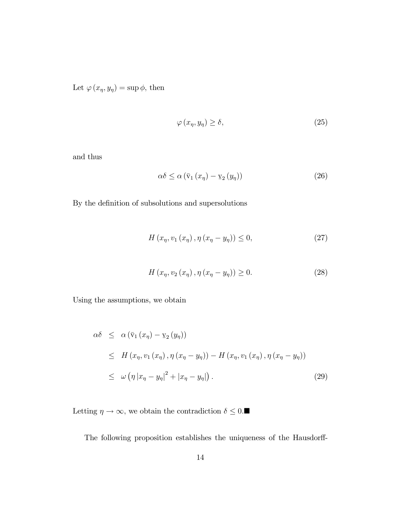Let  $\varphi(x_\eta, y_\eta) = \sup \phi$ , then

$$
\varphi(x_{\eta}, y_{\eta}) \ge \delta,\tag{25}
$$

and thus  $\,$ 

$$
\alpha \delta \le \alpha \left( \bar{v}_1 \left( x_\eta \right) - \underline{v}_2 \left( y_\eta \right) \right) \tag{26}
$$

By the definition of subsolutions and supersolutions

$$
H(x_{\eta}, v_{1}(x_{\eta}), \eta (x_{\eta} - y_{\eta})) \leq 0, \qquad (27)
$$

$$
H(x_{\eta}, v_2(x_{\eta}), \eta (x_{\eta} - y_{\eta})) \ge 0. \tag{28}
$$

Using the assumptions, we obtain

$$
\alpha \delta \leq \alpha \left( \bar{v}_1 \left( x_\eta \right) - \bar{v}_2 \left( y_\eta \right) \right)
$$
  
\n
$$
\leq H \left( x_\eta, v_1 \left( x_\eta \right), \eta \left( x_\eta - y_\eta \right) \right) - H \left( x_\eta, v_1 \left( x_\eta \right), \eta \left( x_\eta - y_\eta \right) \right)
$$
  
\n
$$
\leq \omega \left( \eta \left| x_\eta - y_\eta \right|^2 + \left| x_\eta - y_\eta \right| \right). \tag{29}
$$

Letting  $\eta\rightarrow\infty,$  we obtain the contradiction  $\delta\leq0. \blacksquare$ 

The following proposition establishes the uniqueness of the Hausdorff-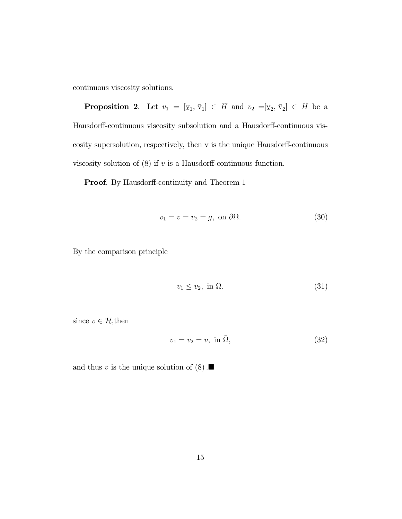continuous viscosity solutions.

**Proposition 2.** Let  $v_1 = [\underline{v}_1, \overline{v}_1] \in H$  and  $v_2 = [\underline{v}_2, \overline{v}_2] \in H$  be a Hausdorff-continuous viscosity subsolution and a Hausdorff-continuous viscosity supersolution, respectively, then v is the unique Hausdorff-continuous viscosity solution of  $(8)$  if v is a Hausdorff-continuous function.

**Proof.** By Hausdorff-continuity and Theorem 1

$$
v_1 = v = v_2 = g, \text{ on } \partial\Omega. \tag{30}
$$

By the comparison principle

$$
v_1 \le v_2, \text{ in } \Omega. \tag{31}
$$

since  $v \in \mathcal{H}$ , then

$$
v_1 = v_2 = v, \text{ in } \bar{\Omega}, \tag{32}
$$

and thus v is the unique solution of  $(8)$ .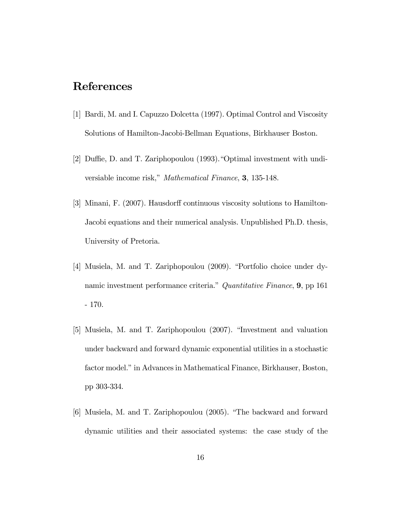### References

- [1] Bardi, M. and I. Capuzzo Dolcetta (1997). Optimal Control and Viscosity Solutions of Hamilton-Jacobi-Bellman Equations, Birkhauser Boston.
- [2] Duffie, D. and T. Zariphopoulou (1993). "Optimal investment with undiversiable income risk," Mathematical Finance, 3, 135-148.
- [3] Minani, F. (2007). Hausdorff continuous viscosity solutions to Hamilton-Jacobi equations and their numerical analysis. Unpublished Ph.D. thesis, University of Pretoria.
- [4] Musiela, M. and T. Zariphopoulou (2009). "Portfolio choice under dynamic investment performance criteria." Quantitative Finance, 9, pp 161  $-170.$
- [5] Musiela, M. and T. Zariphopoulou (2007). "Investment and valuation under backward and forward dynamic exponential utilities in a stochastic factor model." in Advances in Mathematical Finance, Birkhauser, Boston, pp 303-334.
- [6] Musiela, M. and T. Zariphopoulou (2005). "The backward and forward dynamic utilities and their associated systems: the case study of the